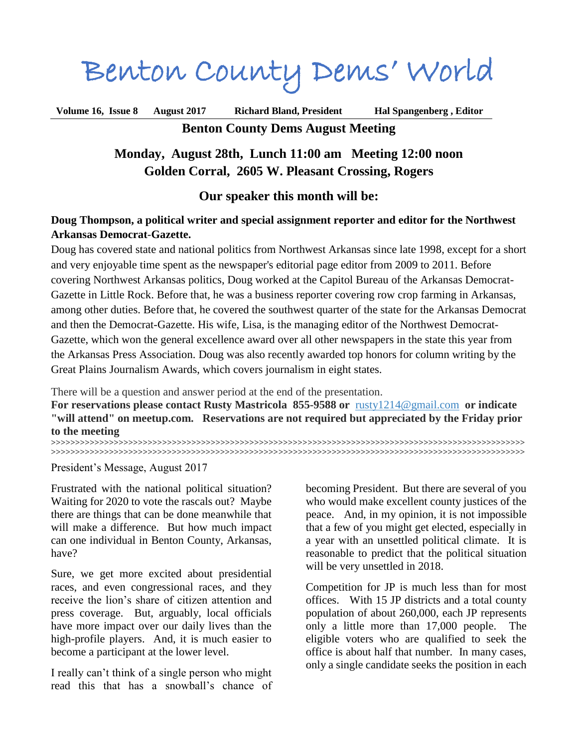Benton County Dems' World

**Volume 16, Issue 8 August 2017 Richard Bland, President Hal Spangenberg , Editor Benton County Dems August Meeting**

# **Monday, August 28th, Lunch 11:00 am Meeting 12:00 noon Golden Corral, 2605 W. Pleasant Crossing, Rogers**

## **Our speaker this month will be:**

## **Doug Thompson, a political writer and special assignment reporter and editor for the Northwest Arkansas Democrat**-**Gazette.**

Doug has covered state and national politics from Northwest Arkansas since late 1998, except for a short and very enjoyable time spent as the newspaper's editorial page editor from 2009 to 2011. Before covering Northwest Arkansas politics, Doug worked at the Capitol Bureau of the Arkansas Democrat-Gazette in Little Rock. Before that, he was a business reporter covering row crop farming in Arkansas, among other duties. Before that, he covered the southwest quarter of the state for the Arkansas Democrat and then the Democrat-Gazette. His wife, Lisa, is the managing editor of the Northwest Democrat-Gazette, which won the general excellence award over all other newspapers in the state this year from the Arkansas Press Association. Doug was also recently awarded top honors for column writing by the Great Plains Journalism Awards, which covers journalism in eight states.

There will be a question and answer period at the end of the presentation.

**For reservations please contact Rusty Mastricola 855-9588 or** [rusty1214@gmail.com](mailto:rusty1214@gmail.com?subject=BC%20Dems%20Meeting%20Reservation) **or indicate "will attend" on meetup.com. Reservations are not required but appreciated by the Friday prior to the meeting** 

**>>>>>>>>>>>>>>>>>>>>>>>>>>>>>>>>>>>>>>>>>>>>>>>>>>>>>>>>>>>>>>>>>>>>>>>>>>>>>>>>>>>>>>>>>>>>>>>>>> >>>>>>>>>>>>>>>>>>>>>>>>>>>>>>>>>>>>>>>>>>>>>>>>>>>>>>>>>>>>>>>>>>>>>>>>>>>>>>>>>>>>>>>>>>>>>>>>>>**

President's Message, August 2017

Frustrated with the national political situation? Waiting for 2020 to vote the rascals out? Maybe there are things that can be done meanwhile that will make a difference. But how much impact can one individual in Benton County, Arkansas, have?

Sure, we get more excited about presidential races, and even congressional races, and they receive the lion's share of citizen attention and press coverage. But, arguably, local officials have more impact over our daily lives than the high-profile players. And, it is much easier to become a participant at the lower level.

I really can't think of a single person who might read this that has a snowball's chance of becoming President. But there are several of you who would make excellent county justices of the peace. And, in my opinion, it is not impossible that a few of you might get elected, especially in a year with an unsettled political climate. It is reasonable to predict that the political situation will be very unsettled in 2018.

Competition for JP is much less than for most offices. With 15 JP districts and a total county population of about 260,000, each JP represents only a little more than 17,000 people. The eligible voters who are qualified to seek the office is about half that number. In many cases, only a single candidate seeks the position in each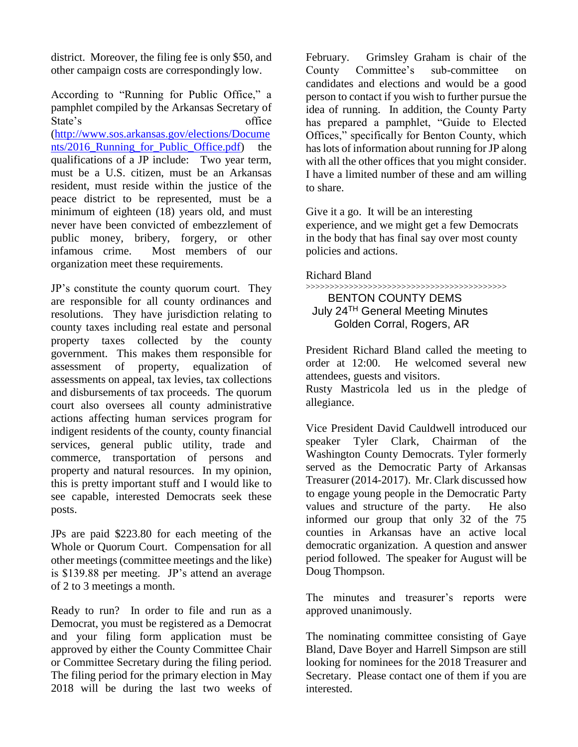district. Moreover, the filing fee is only \$50, and other campaign costs are correspondingly low.

According to "Running for Public Office," a pamphlet compiled by the Arkansas Secretary of State's office [\(http://www.sos.arkansas.gov/elections/Docume](http://www.sos.arkansas.gov/elections/Documents/2016_Running_for_Public_Office.pdf) nts/2016 Running for Public Office.pdf) the qualifications of a JP include: Two year term, must be a U.S. citizen, must be an Arkansas resident, must reside within the justice of the peace district to be represented, must be a minimum of eighteen (18) years old, and must never have been convicted of embezzlement of public money, bribery, forgery, or other infamous crime. Most members of our organization meet these requirements.

JP's constitute the county quorum court. They are responsible for all county ordinances and resolutions. They have jurisdiction relating to county taxes including real estate and personal property taxes collected by the county government. This makes them responsible for assessment of property, equalization of assessments on appeal, tax levies, tax collections and disbursements of tax proceeds. The quorum court also oversees all county administrative actions affecting human services program for indigent residents of the county, county financial services, general public utility, trade and commerce, transportation of persons and property and natural resources. In my opinion, this is pretty important stuff and I would like to see capable, interested Democrats seek these posts.

JPs are paid \$223.80 for each meeting of the Whole or Quorum Court. Compensation for all other meetings (committee meetings and the like) is \$139.88 per meeting. JP's attend an average of 2 to 3 meetings a month.

Ready to run? In order to file and run as a Democrat, you must be registered as a Democrat and your filing form application must be approved by either the County Committee Chair or Committee Secretary during the filing period. The filing period for the primary election in May 2018 will be during the last two weeks of February. Grimsley Graham is chair of the County Committee's sub-committee on candidates and elections and would be a good person to contact if you wish to further pursue the idea of running. In addition, the County Party has prepared a pamphlet, "Guide to Elected Offices," specifically for Benton County, which has lots of information about running for JP along with all the other offices that you might consider. I have a limited number of these and am willing to share.

Give it a go. It will be an interesting experience, and we might get a few Democrats in the body that has final say over most county policies and actions.

Richard Bland

#### >>>>>>>>>>>>>>>>>>>>>>>>>>>>>>>>>>>>>>>>>> BENTON COUNTY DEMS July 24TH General Meeting Minutes Golden Corral, Rogers, AR

President Richard Bland called the meeting to order at 12:00. He welcomed several new attendees, guests and visitors.

Rusty Mastricola led us in the pledge of allegiance.

Vice President David Cauldwell introduced our speaker Tyler Clark, Chairman of the Washington County Democrats. Tyler formerly served as the Democratic Party of Arkansas Treasurer (2014-2017). Mr. Clark discussed how to engage young people in the Democratic Party values and structure of the party. He also informed our group that only 32 of the 75 counties in Arkansas have an active local democratic organization. A question and answer period followed. The speaker for August will be Doug Thompson.

The minutes and treasurer's reports were approved unanimously.

The nominating committee consisting of Gaye Bland, Dave Boyer and Harrell Simpson are still looking for nominees for the 2018 Treasurer and Secretary. Please contact one of them if you are interested.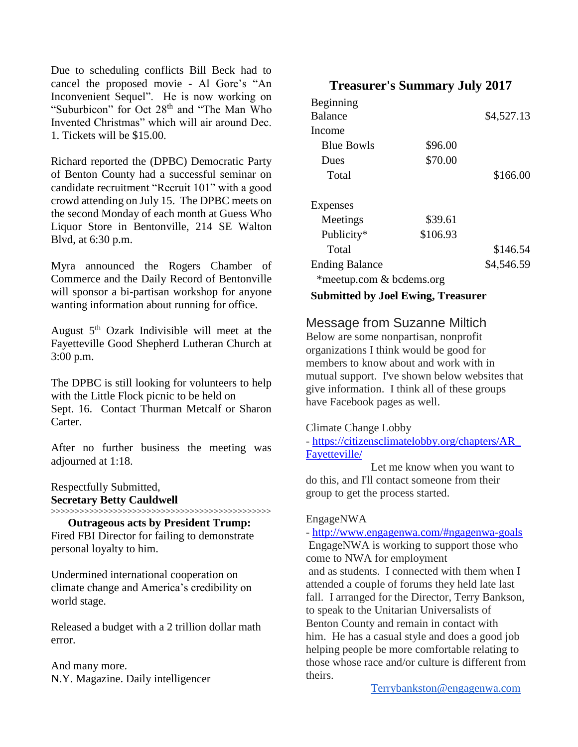Due to scheduling conflicts Bill Beck had to cancel the proposed movie - Al Gore's "An Inconvenient Sequel". He is now working on "Suburbicon" for Oct 28<sup>th</sup> and "The Man Who Invented Christmas" which will air around Dec. 1. Tickets will be \$15.00.

Richard reported the (DPBC) Democratic Party of Benton County had a successful seminar on candidate recruitment "Recruit 101" with a good crowd attending on July 15. The DPBC meets on the second Monday of each month at Guess Who Liquor Store in Bentonville, 214 SE Walton Blvd, at 6:30 p.m.

Myra announced the Rogers Chamber of Commerce and the Daily Record of Bentonville will sponsor a bi-partisan workshop for anyone wanting information about running for office.

August 5th Ozark Indivisible will meet at the Fayetteville Good Shepherd Lutheran Church at 3:00 p.m.

The DPBC is still looking for volunteers to help with the Little Flock picnic to be held on Sept. 16. Contact Thurman Metcalf or Sharon Carter.

After no further business the meeting was adjourned at 1:18.

Respectfully Submitted, **Secretary Betty Cauldwell**

>>>>>>>>>>>>>>>>>>>>>>>>>>>>>>>>>>>>>>>>>>>>>>

**Outrageous acts by President Trump:**  Fired FBI Director for failing to demonstrate personal loyalty to him.

Undermined international cooperation on climate change and America's credibility on world stage.

Released a budget with a 2 trillion dollar math error.

And many more. N.Y. Magazine. Daily intelligencer

# **Treasurer's Summary July 2017**

| Beginning<br><b>Balance</b> |          | \$4,527.13 |  |
|-----------------------------|----------|------------|--|
| Income                      |          |            |  |
| <b>Blue Bowls</b>           | \$96.00  |            |  |
| Dues                        | \$70.00  |            |  |
| Total                       |          | \$166.00   |  |
|                             |          |            |  |
| Expenses                    |          |            |  |
| Meetings                    | \$39.61  |            |  |
| Publicity*                  | \$106.93 |            |  |
| Total                       |          | \$146.54   |  |
| <b>Ending Balance</b>       |          | \$4,546.59 |  |
| *meetup.com & bcdems.org    |          |            |  |
| .                           |          |            |  |

**Submitted by Joel Ewing, Treasurer**

# Message from Suzanne Miltich

Below are some nonpartisan, nonprofit organizations I think would be good for members to know about and work with in mutual support. I've shown below websites that give information. I think all of these groups have Facebook pages as well.

#### Climate Change Lobby

- [https://citizensclimatelobby.org/chapters/AR\\_](https://citizensclimatelobby.org/chapters/AR_Fayetteville/) [Fayetteville/](https://citizensclimatelobby.org/chapters/AR_Fayetteville/)

 Let me know when you want to do this, and I'll contact someone from their group to get the process started.

#### EngageNWA

- <http://www.engagenwa.com/#ngagenwa-goals> EngageNWA is working to support those who come to NWA for employment and as students. I connected with them when I attended a couple of forums they held late last fall. I arranged for the Director, Terry Bankson, to speak to the Unitarian Universalists of Benton County and remain in contact with him. He has a casual style and does a good job helping people be more comfortable relating to those whose race and/or culture is different from theirs.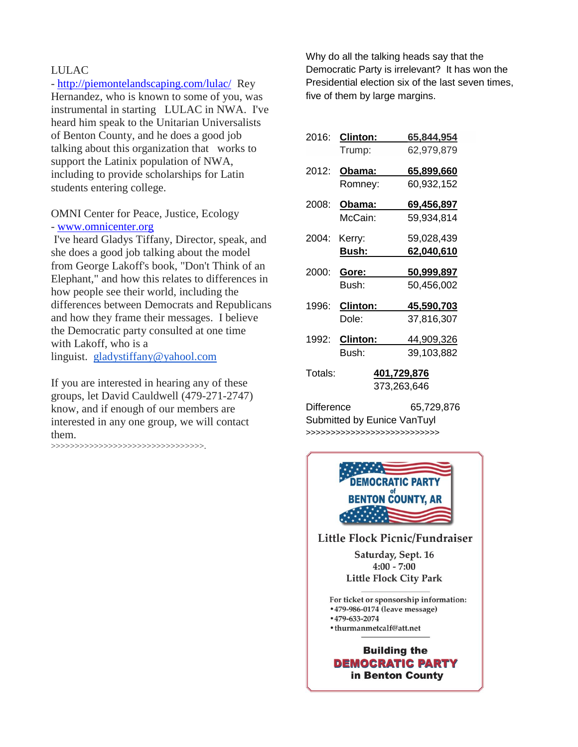#### LULAC

- <http://piemontelandscaping.com/lulac/>Rey Hernandez, who is known to some of you, was instrumental in starting LULAC in NWA. I've heard him speak to the Unitarian Universalists of Benton County, and he does a good job talking about this organization that works to support the Latinix population of NWA, including to provide scholarships for Latin students entering college.

#### OMNI Center for Peace, Justice, Ecology - [www.omnicenter.org](http://www.omnicenter.org/)

I've heard Gladys Tiffany, Director, speak, and she does a good job talking about the model from George Lakoff's book, "Don't Think of an Elephant," and how this relates to differences in how people see their world, including the differences between Democrats and Republicans and how they frame their messages. I believe the Democratic party consulted at one time with Lakoff, who is a linguist. [gladystiffany@yahool.com](mailto:gladystiffany@yahool.com)

If you are interested in hearing any of these groups, let David Cauldwell (479-271-2747) know, and if enough of our members are interested in any one group, we will contact them.

>>>>>>>>>>>>>>>>>>>>>>>>>>>>>>>>.

Why do all the talking heads say that the Democratic Party is irrelevant? It has won the Presidential election six of the last seven times, five of them by large margins.

| 2016:             | <b>Clinton:</b> | <u>65,844,954</u>  |
|-------------------|-----------------|--------------------|
|                   | Trump:          | 62,979,879         |
| 2012:             | <u> Obama:</u>  | <u>65,899,660</u>  |
|                   | Romney:         | 60,932,152         |
| 2008:             | <u> Obama:</u>  | 69,456,897         |
|                   | McCain:         | 59,934,814         |
| 2004:             | Kerry:          | 59,028,439         |
|                   | Bush:           | <u>62,040,610</u>  |
| 2000:             | Gore:           | <u>50,999,897</u>  |
|                   | Bush:           | 50,456,002         |
| 1996:             | <b>Clinton:</b> | 45,590,703         |
|                   | Dole:           | 37,816,307         |
| 1992:             | <b>Clinton:</b> | 44,909,326         |
|                   | Bush:           | 39,103,882         |
| Totals:           |                 | <u>401,729,876</u> |
|                   |                 | 373,263,646        |
| <b>Difference</b> |                 | 65,729,876         |

Submitted by Eunice VanTuyl >>>>>>>>>>>>>>>>>>>>>>>>>>>



**Little Flock Picnic/Fundraiser** Saturday, Sept. 16  $4:00 - 7:00$ **Little Flock City Park** 

For ticket or sponsorship information: • 479-986-0174 (leave message)

- $•479-633-2074$
- · thurmanmetcalf@att.net

#### **Building the DEMOCRATIC PARTY** in Benton County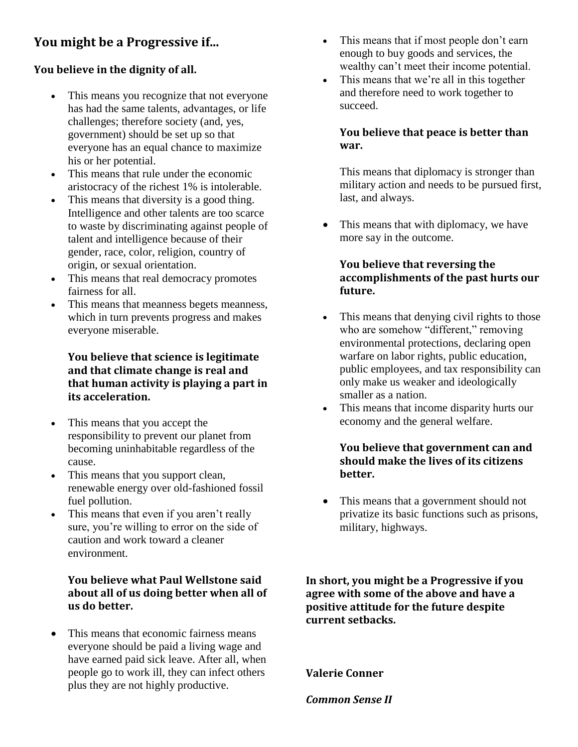# **You might be a Progressive if...**

# **You believe in the dignity of all.**

- This means you recognize that not everyone has had the same talents, advantages, or life challenges; therefore society (and, yes, government) should be set up so that everyone has an equal chance to maximize his or her potential.
- This means that rule under the economic aristocracy of the richest 1% is intolerable.
- This means that diversity is a good thing. Intelligence and other talents are too scarce to waste by discriminating against people of talent and intelligence because of their gender, race, color, religion, country of origin, or sexual orientation.
- This means that real democracy promotes fairness for all.
- This means that meanness begets meanness, which in turn prevents progress and makes everyone miserable.

# **You believe that science is legitimate and that climate change is real and that human activity is playing a part in its acceleration.**

- This means that you accept the responsibility to prevent our planet from becoming uninhabitable regardless of the cause.
- This means that you support clean, renewable energy over old-fashioned fossil fuel pollution.
- This means that even if you aren't really sure, you're willing to error on the side of caution and work toward a cleaner environment.

# **You believe what Paul Wellstone said about all of us doing better when all of us do better.**

 This means that economic fairness means everyone should be paid a living wage and have earned paid sick leave. After all, when people go to work ill, they can infect others plus they are not highly productive.

- This means that if most people don't earn enough to buy goods and services, the wealthy can't meet their income potential.
- This means that we're all in this together and therefore need to work together to succeed.

# **You believe that peace is better than war.**

This means that diplomacy is stronger than military action and needs to be pursued first, last, and always.

• This means that with diplomacy, we have more say in the outcome.

# **You believe that reversing the accomplishments of the past hurts our future.**

- This means that denying civil rights to those who are somehow "different," removing environmental protections, declaring open warfare on labor rights, public education, public employees, and tax responsibility can only make us weaker and ideologically smaller as a nation.
- This means that income disparity hurts our economy and the general welfare.

# **You believe that government can and should make the lives of its citizens better.**

 This means that a government should not privatize its basic functions such as prisons, military, highways.

**In short, you might be a Progressive if you agree with some of the above and have a positive attitude for the future despite current setbacks.**

**Valerie Conner**

*Common Sense II*